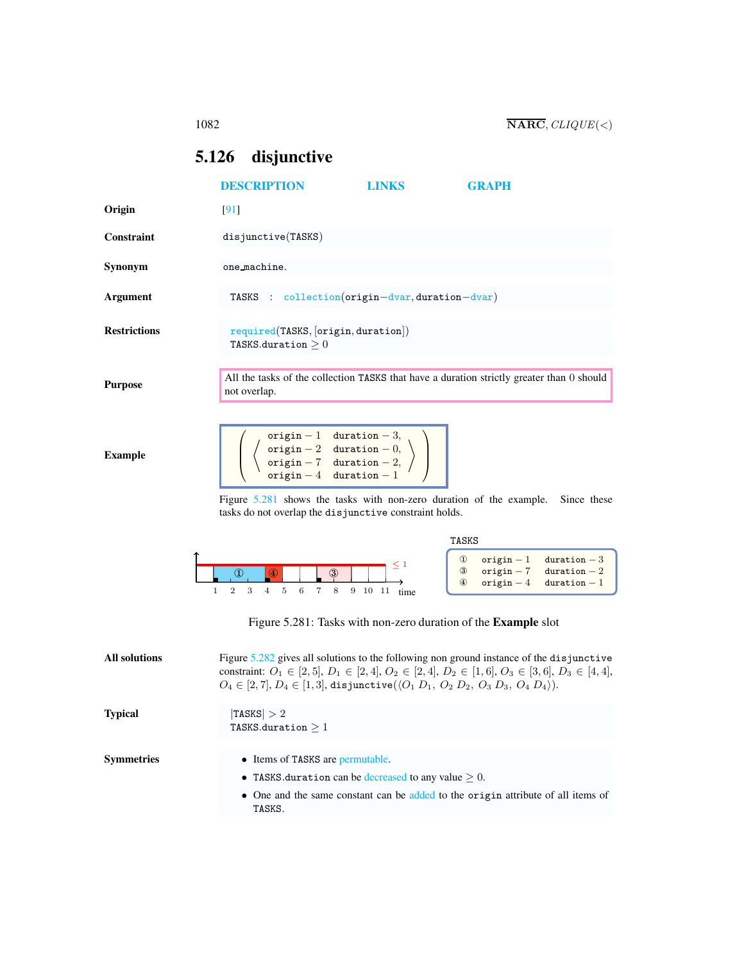# <span id="page-0-1"></span><span id="page-0-0"></span>5.126 disjunctive

|                      | <b>DESCRIPTION</b>                                                                                                                                                                                                                                                                                                 | LINKS                                               | GRAPH                                                                                                                                        |
|----------------------|--------------------------------------------------------------------------------------------------------------------------------------------------------------------------------------------------------------------------------------------------------------------------------------------------------------------|-----------------------------------------------------|----------------------------------------------------------------------------------------------------------------------------------------------|
| Origin               | [91]                                                                                                                                                                                                                                                                                                               |                                                     |                                                                                                                                              |
| <b>Constraint</b>    | disjunctive(TASKS)                                                                                                                                                                                                                                                                                                 |                                                     |                                                                                                                                              |
| Synonym              | one_machine.                                                                                                                                                                                                                                                                                                       |                                                     |                                                                                                                                              |
| Argument             | TASKS                                                                                                                                                                                                                                                                                                              | $\therefore$ collection(origin-dvar, duration-dvar) |                                                                                                                                              |
| <b>Restrictions</b>  | required(TASKS, [origin, duration])<br>TASKS.duration $\geq 0$                                                                                                                                                                                                                                                     |                                                     |                                                                                                                                              |
| <b>Purpose</b>       | not overlap.                                                                                                                                                                                                                                                                                                       |                                                     | All the tasks of the collection TASKS that have a duration strictly greater than 0 should                                                    |
| <b>Example</b>       | $\begin{tabular}{ll} origin-1 & duration-3, \\ origin-2 & duration-0, \\ origin-7 & duration-2, \\ origin-4 & duration-1 \end{tabular}$<br>Figure 5.281 shows the tasks with non-zero duration of the example.<br>tasks do not overlap the disjunctive constraint holds.                                           |                                                     | Since these                                                                                                                                  |
|                      |                                                                                                                                                                                                                                                                                                                    |                                                     | TASKS                                                                                                                                        |
| 1                    | $\circled{1}$<br>8<br>$\overline{2}$<br>3<br>$\overline{4}$<br>5<br>6<br>$\overline{7}$                                                                                                                                                                                                                            | 9 10 11                                             | $^\circledR$<br>$origin - 1$<br>$duration-3$<br>$\circledS$<br>$origin - 7$<br>$duration-2$<br>$\circledast$<br>$origin-4$<br>$duration - 1$ |
|                      | Figure 5.281: Tasks with non-zero duration of the Example slot                                                                                                                                                                                                                                                     |                                                     |                                                                                                                                              |
| <b>All solutions</b> | Figure 5.282 gives all solutions to the following non ground instance of the disjunctive<br>constraint: $O_1 \in [2, 5], D_1 \in [2, 4], O_2 \in [2, 4], D_2 \in [1, 6], O_3 \in [3, 6], D_3 \in [4, 4],$<br>$O_4 \in [2, 7], D_4 \in [1, 3],$ disjunctive $(\langle O_1 D_1, O_2 D_2, O_3 D_3, O_4 D_4 \rangle).$ |                                                     |                                                                                                                                              |
| <b>Typical</b>       | $ {\tt TASKS}  > 2$<br>TASKS.duration $\geq 1$                                                                                                                                                                                                                                                                     |                                                     |                                                                                                                                              |
| <b>Symmetries</b>    | • Items of TASKS are permutable.                                                                                                                                                                                                                                                                                   |                                                     |                                                                                                                                              |
|                      | • TASKS duration can be decreased to any value $\geq 0$ .                                                                                                                                                                                                                                                          |                                                     |                                                                                                                                              |
|                      | TASKS.                                                                                                                                                                                                                                                                                                             |                                                     | • One and the same constant can be added to the origin attribute of all items of                                                             |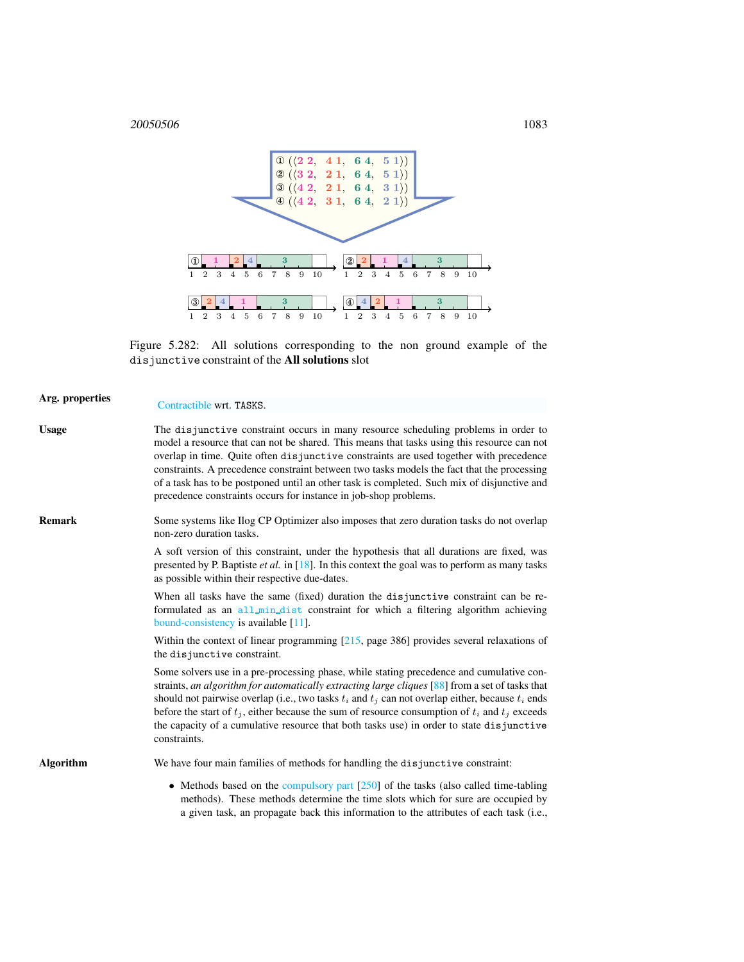20050506 1083



<span id="page-1-0"></span>Figure 5.282: All solutions corresponding to the non ground example of the disjunctive constraint of the All solutions slot

| Arg. properties | Contractible wrt. TASKS.                                                                                                                                                                                                                                                                                                                                                                                                                                                                                                                    |
|-----------------|---------------------------------------------------------------------------------------------------------------------------------------------------------------------------------------------------------------------------------------------------------------------------------------------------------------------------------------------------------------------------------------------------------------------------------------------------------------------------------------------------------------------------------------------|
| Usage           | The disjunctive constraint occurs in many resource scheduling problems in order to<br>model a resource that can not be shared. This means that tasks using this resource can not<br>overlap in time. Quite often disjunctive constraints are used together with precedence<br>constraints. A precedence constraint between two tasks models the fact that the processing<br>of a task has to be postponed until an other task is completed. Such mix of disjunctive and<br>precedence constraints occurs for instance in job-shop problems. |
| Remark          | Some systems like Ilog CP Optimizer also imposes that zero duration tasks do not overlap<br>non-zero duration tasks.                                                                                                                                                                                                                                                                                                                                                                                                                        |
|                 | A soft version of this constraint, under the hypothesis that all durations are fixed, was<br>presented by P. Baptiste <i>et al.</i> in [18]. In this context the goal was to perform as many tasks<br>as possible within their respective due-dates.                                                                                                                                                                                                                                                                                        |
|                 | When all tasks have the same (fixed) duration the disjunctive constraint can be re-<br>formulated as an all_min_dist constraint for which a filtering algorithm achieving<br>bound-consistency is available $[11]$ .                                                                                                                                                                                                                                                                                                                        |
|                 | Within the context of linear programming $[215, \text{page } 386]$ provides several relaxations of<br>the disjunctive constraint.                                                                                                                                                                                                                                                                                                                                                                                                           |
|                 | Some solvers use in a pre-processing phase, while stating precedence and cumulative con-<br>straints, an algorithm for automatically extracting large cliques $[88]$ from a set of tasks that<br>should not pairwise overlap (i.e., two tasks $t_i$ and $t_j$ can not overlap either, because $t_i$ ends<br>before the start of $t_j$ , either because the sum of resource consumption of $t_i$ and $t_j$ exceeds<br>the capacity of a cumulative resource that both tasks use) in order to state disjunctive<br>constraints.               |
| Algorithm       | We have four main families of methods for handling the disjunctive constraint:                                                                                                                                                                                                                                                                                                                                                                                                                                                              |
|                 | • Methods based on the compulsory part $[250]$ of the tasks (also called time-tabling<br>methods). These methods determine the time slots which for sure are occupied by<br>a given task, an propagate back this information to the attributes of each task (i.e.,                                                                                                                                                                                                                                                                          |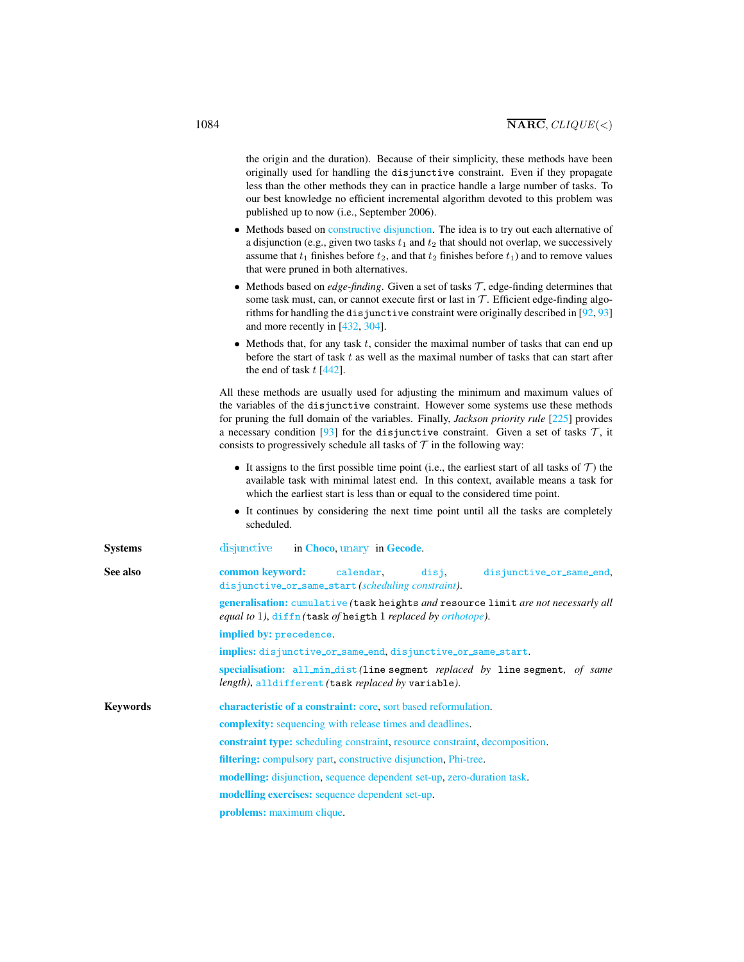<span id="page-2-0"></span>

|                 | the origin and the duration). Because of their simplicity, these methods have been<br>originally used for handling the disjunctive constraint. Even if they propagate<br>less than the other methods they can in practice handle a large number of tasks. To<br>our best knowledge no efficient incremental algorithm devoted to this problem was<br>published up to now (i.e., September 2006).                                                                   |
|-----------------|--------------------------------------------------------------------------------------------------------------------------------------------------------------------------------------------------------------------------------------------------------------------------------------------------------------------------------------------------------------------------------------------------------------------------------------------------------------------|
|                 | • Methods based on constructive disjunction. The idea is to try out each alternative of<br>a disjunction (e.g., given two tasks $t_1$ and $t_2$ that should not overlap, we successively<br>assume that $t_1$ finishes before $t_2$ , and that $t_2$ finishes before $t_1$ ) and to remove values<br>that were pruned in both alternatives.                                                                                                                        |
|                 | • Methods based on <i>edge-finding</i> . Given a set of tasks $\mathcal{T}$ , edge-finding determines that<br>some task must, can, or cannot execute first or last in $T$ . Efficient edge-finding algo-<br>rithms for handling the disjunctive constraint were originally described in [92, 93]<br>and more recently in [432, 304].                                                                                                                               |
|                 | • Methods that, for any task $t$ , consider the maximal number of tasks that can end up<br>before the start of task $t$ as well as the maximal number of tasks that can start after<br>the end of task $t$ [442].                                                                                                                                                                                                                                                  |
|                 | All these methods are usually used for adjusting the minimum and maximum values of<br>the variables of the disjunctive constraint. However some systems use these methods<br>for pruning the full domain of the variables. Finally, <i>Jackson priority rule</i> [225] provides<br>a necessary condition [93] for the disjunctive constraint. Given a set of tasks $\mathcal{T}$ , it<br>consists to progressively schedule all tasks of $T$ in the following way: |
|                 | • It assigns to the first possible time point (i.e., the earliest start of all tasks of $\mathcal T$ ) the<br>available task with minimal latest end. In this context, available means a task for<br>which the earliest start is less than or equal to the considered time point.                                                                                                                                                                                  |
|                 | • It continues by considering the next time point until all the tasks are completely<br>scheduled.                                                                                                                                                                                                                                                                                                                                                                 |
| Systems         | disjunctive<br>in Choco, unary in Gecode.                                                                                                                                                                                                                                                                                                                                                                                                                          |
| See also        | common keyword:<br>calendar,<br>disjunctive_or_same_end,<br>disj,<br>disjunctive_or_same_start(scheduling constraint).                                                                                                                                                                                                                                                                                                                                             |
|                 | generalisation: cumulative (task heights and resource limit are not necessarly all<br>equal to 1), diffn (task of heigth 1 replaced by orthotope).                                                                                                                                                                                                                                                                                                                 |
|                 | implied by: precedence.                                                                                                                                                                                                                                                                                                                                                                                                                                            |
|                 | implies: disjunctive_or_same_end, disjunctive_or_same_start.                                                                                                                                                                                                                                                                                                                                                                                                       |
|                 | specialisation: all_min_dist(line segment replaced by line segment, of same<br>length), alldifferent (task replaced by variable).                                                                                                                                                                                                                                                                                                                                  |
| <b>Keywords</b> | characteristic of a constraint: core, sort based reformulation.                                                                                                                                                                                                                                                                                                                                                                                                    |
|                 | complexity: sequencing with release times and deadlines.                                                                                                                                                                                                                                                                                                                                                                                                           |
|                 | constraint type: scheduling constraint, resource constraint, decomposition.                                                                                                                                                                                                                                                                                                                                                                                        |
|                 | filtering: compulsory part, constructive disjunction, Phi-tree.                                                                                                                                                                                                                                                                                                                                                                                                    |
|                 | modelling: disjunction, sequence dependent set-up, zero-duration task.                                                                                                                                                                                                                                                                                                                                                                                             |
|                 | modelling exercises: sequence dependent set-up.                                                                                                                                                                                                                                                                                                                                                                                                                    |
|                 | problems: maximum clique.                                                                                                                                                                                                                                                                                                                                                                                                                                          |
|                 |                                                                                                                                                                                                                                                                                                                                                                                                                                                                    |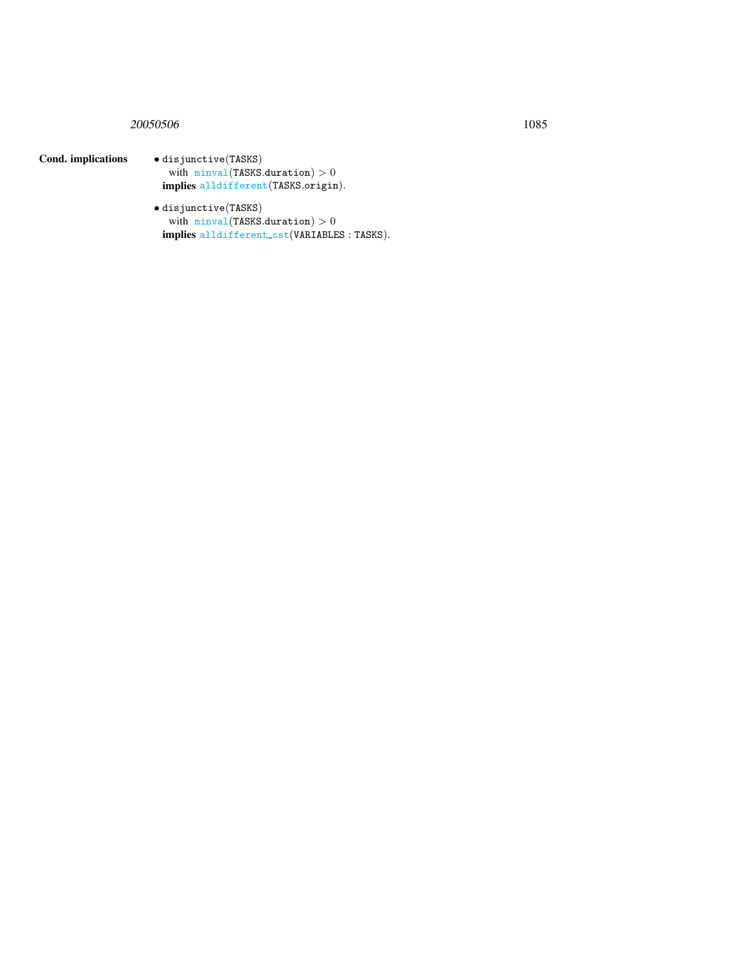# 20050506 1085

# Cond. implications • disjunctive(TASKS)

with  $minval(TASKS.duration) > 0$ implies alldifferent(TASKS.origin).

• disjunctive(TASKS) with  $minval(TASKS.duration) > 0$ implies alldifferent\_cst(VARIABLES: TASKS).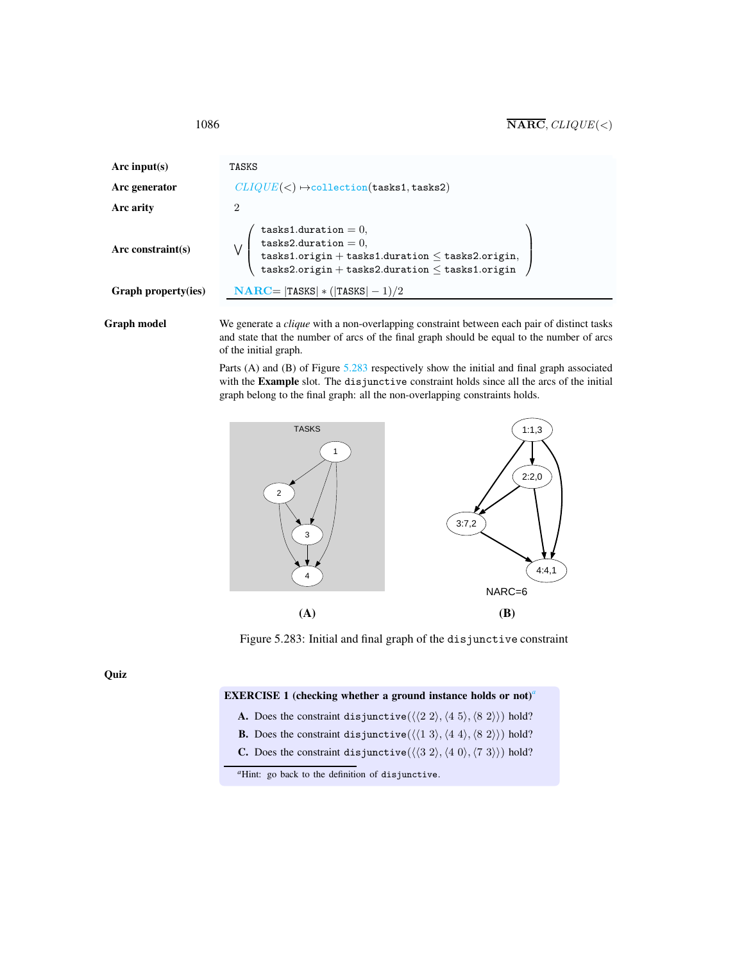1086  $\overline{\textbf{NARC}}$ ,  $CLIQUE(<)$ 

| Arc input(s)        | TASKS                                                                                                                                                                                                                             |  |  |
|---------------------|-----------------------------------------------------------------------------------------------------------------------------------------------------------------------------------------------------------------------------------|--|--|
| Arc generator       | $CLIQUE(<) \rightarrow collection(tasks1, tasks2)$                                                                                                                                                                                |  |  |
| Arc arity           | $\overline{2}$                                                                                                                                                                                                                    |  |  |
| Arc constraint(s)   | tasks1.duration = $0$ ,<br>tasks2.duration = $0$ ,<br>${\tt tasks1.origin + tasks1. duration \leq tasks2. origin},$<br>$\mathtt{tasks2}.\mathtt{origin} + \mathtt{tasks2}.\mathtt{duration} \leq \mathtt{tasks1}.\mathtt{origin}$ |  |  |
| Graph property(ies) | $NARC =  TASKS  * ( TASKS  - 1)/2$                                                                                                                                                                                                |  |  |

Graph model We generate a *clique* with a non-overlapping constraint between each pair of distinct tasks and state that the number of arcs of the final graph should be equal to the number of arcs of the initial graph.

> Parts (A) and (B) of Figure [5.283](#page-4-1) respectively show the initial and final graph associated with the Example slot. The disjunctive constraint holds since all the arcs of the initial graph belong to the final graph: all the non-overlapping constraints holds.



<span id="page-4-1"></span>Figure 5.283: Initial and final graph of the disjunctive constraint

Quiz

#### EXERCISE 1 (checking whether a ground instance holds or not)*[a](#page-4-2)*

- A. Does the constraint disjunctive( $\langle \langle 2 \ 2 \rangle, \langle 4 \ 5 \rangle, \langle 8 \ 2 \rangle \rangle$ ) hold?
- **B.** Does the constraint disjunctive( $\langle \langle 1 3 \rangle, \langle 4 4 \rangle, \langle 8 2 \rangle$ ) hold?
- C. Does the constraint disjunctive( $\langle \langle 3 2 \rangle, \langle 4 0 \rangle, \langle 7 3 \rangle$ ) hold?

<span id="page-4-0"></span>

<span id="page-4-2"></span>*<sup>a</sup>*Hint: go back to the definition of disjunctive.